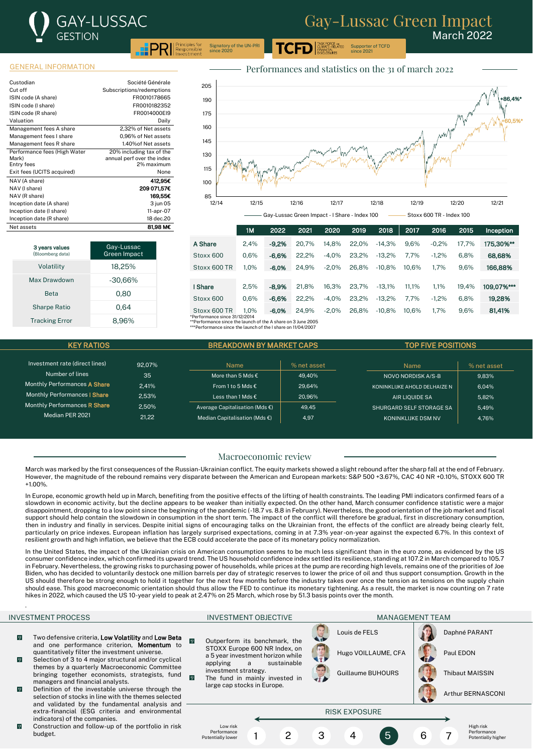

March 2022

**PRI** Principles for Signatory of the UN-PRI since 2020

## GENERAL INFORMATION

| Custodian                             | Société Générale                                       |
|---------------------------------------|--------------------------------------------------------|
| Cut off                               | Subscriptions/redemptions                              |
| ISIN code (A share)                   | FR0010178665                                           |
| ISIN code (I share)                   | FR0010182352                                           |
| ISIN code (R share)                   | FR0014000EI9                                           |
| Valuation                             | Daily                                                  |
| Management fees A share               | 2.32% of Net assets                                    |
| Management fees I share               | 0.96% of Net assets                                    |
| Management fees R share               | 1.40% of Net assets                                    |
| Performance fees (High Water<br>Mark) | 20% including tax of the<br>annual perf over the index |
| Entry fees                            | 2% maximum                                             |
| Exit fees (UCITS acquired)            | None                                                   |
| NAV (A share)                         | 412,95€                                                |
| NAV (I share)                         | 209 071.57€                                            |
| NAV (R share)                         | 169,55€                                                |
| Inception date (A share)              | 3 jun 05                                               |
| Inception date (I share)              | 11-apr-07                                              |
| Inception date (R share)              | 18 dec.20                                              |
| Net assets                            | 81.98 M€                                               |



Supporter of TCFD since 2021

ASK FORCE on<br>CLIMATE-RELATED

3 years values oomberg data Gay-Lussac Green Impact Volatility 18,25% Max Drawdown -30,66% Beta 0.80 Sharpe Ratio 0.64 Tracking Error 8,96%

|                                                              | 1M      | 2022    | 2021  | 2020    | 2019  | 2018     | 2017  | 2016    | 2015  | Inception  |
|--------------------------------------------------------------|---------|---------|-------|---------|-------|----------|-------|---------|-------|------------|
| A Share                                                      | 2.4%    | $-9.2%$ | 20.7% | 14.8%   | 22.0% | $-14.3%$ | 9.6%  | $-0.2%$ | 17.7% | 175.30%**  |
| Stoxx 600                                                    | 0.6%    | $-6.6%$ | 22.2% | $-4.0%$ | 23.2% | $-13.2%$ | 7.7%  | $-1.2%$ | 6.8%  | 68,68%     |
| Stoxx 600 TR                                                 | 1.0%    | $-6.0%$ | 24.9% | $-2.0%$ | 26.8% | $-10.8%$ | 10.6% | 1.7%    | 9.6%  | 166.88%    |
|                                                              |         |         |       |         |       |          |       |         |       |            |
| I Share                                                      | 2.5%    | $-8.9%$ | 21.8% | 16.3%   | 23.7% | $-13.1%$ | 11.1% | 1.1%    | 19.4% | 109,07%*** |
| Stoxx 600                                                    | 0.6%    | $-6.6%$ | 22.2% | $-4.0%$ | 23.2% | $-13.2%$ | 7.7%  | $-1.2%$ | 6.8%  | 19.28%     |
| Stoxx 600 TR                                                 | $1.0\%$ | $-6.0%$ | 24.9% | $-2.0%$ | 26.8% | $-10.8%$ | 10.6% | 1.7%    | 9.6%  | 81.41%     |
| *Performance since 31/12/2014                                |         |         |       |         |       |          |       |         |       |            |
| **Performance since the launch of the A share on 3 lune 2005 |         |         |       |         |       |          |       |         |       |            |

\*\*Performance since the launch of the A share on 3 June 2005 \*\*\*Performance since the launch of the I share on 11/04/2007

| <b>KEY RATIOS</b>                                                   |        | <b>BREAKDOWN BY MARKET CAPS</b>          |                           | <b>TOP FIVE POSITIONS</b>    |             |  |  |
|---------------------------------------------------------------------|--------|------------------------------------------|---------------------------|------------------------------|-------------|--|--|
|                                                                     |        |                                          |                           |                              |             |  |  |
| Investment rate (direct lines)                                      | 92.07% | <b>Name</b>                              | % net asset               | Name                         | % net asset |  |  |
| Number of lines                                                     | 35     | More than 5 Mds $\epsilon$               | 49.40%                    | NOVO NORDISK A/S-B           | 9.83%       |  |  |
| Monthly Performances A Share                                        | 2.41%  | From 1 to 5 Mds $\epsilon$               | 29.64%                    | KONINKLIJKE AHOLD DELHAIZE N | 6.04%       |  |  |
| Monthly Performances   Share                                        | 2.53%  | Less than 1 Mds €                        | 20.96%                    | <b>AIR LIOUIDE SA</b>        | 5.82%       |  |  |
| Monthly Performances R Share                                        | 2.50%  | Average Capitalisation (Mds $\epsilon$ ) | 49.45                     | SHURGARD SELF STORAGE SA     | 5.49%       |  |  |
| Median PER 2021<br>21.22<br>Median Capitalisation (Mds $\epsilon$ ) |        | 4.97                                     | <b>KONINKLIJKE DSM NV</b> | 4.76%                        |             |  |  |

## Macroeconomic review

March was marked by the first consequences of the Russian-Ukrainian conflict. The equity markets showed a slight rebound after the sharp fall at the end of February. However, the magnitude of the rebound remains very disparate between the American and European markets: S&P 500 +3.67%, CAC 40 NR +0.10%, STOXX 600 TR +1.00%.

In Europe, economic growth held up in March, benefiting from the positive effects of the lifting of health constraints. The leading PMI indicators confirmed fears of a slowdown in economic activity, but the decline appears to be weaker than initially expected. On the other hand, March consumer confidence statistic were a major disappointment, dropping to a low point since the beginning of the pandemic (-18.7 vs. 8.8 in February). Nevertheless, the good orientation of the job market and fiscal support should help contain the slowdown in consumption in the short term. The impact of the conflict will therefore be gradual, first in discretionary consumption, then in industry and finally in services. Despite initial signs of encouraging talks on the Ukrainian front, the effects of the conflict are already being clearly felt, particularly on price indexes. European inflation has largely surprised expectations, coming in at 7.3% year-on-year against the expected 6.7%. In this context of resilient growth and high inflation, we believe that the ECB could accelerate the pace of its monetary policy normalization.

In the United States, the impact of the Ukrainian crisis on American consumption seems to be much less significant than in the euro zone, as evidenced by the US consumer confidence index, which confirmed its upward trend. The US household confidence index settled its resilience, standing at 107.2 in March compared to 105.7 in February. Nevertheless, the growing risks to purchasing power of households, while prices at the pump are recording high levels, remains one of the priorities of Joe Biden, who has decided to voluntarily destock one million barrels per day of strategic reserves to lower the price of oil and thus support consumption. Growth in the US should therefore be strong enough to hold it together for the next few months before the industry takes over once the tension as tensions on the supply chain should ease. This good macroeconomic orientation should thus allow the FED to continue its monetary tightening. As a result, the market is now counting on 7 rate hikes in 2022, which caused the US 10-year yield to peak at 2.47% on 25 March, which rose by 51.3 basis points over the month.

.

INVESTMENT PROCESS THE RESERVE OF A RESERVE THE MANAGEMENT TEAM INVESTMENT OBJECTIVE THE MANAGEMENT TEAM INVESTMENT OF A RESERVE OF A STREET OF A STREET OF A STREET OF A STREET OF A STREET OF A STREET OF A STREET OF A STRE

- Two defensive criteria, Low Volatility and Low Beta  $\sqrt{0}$ and one performance criterion, Momentum to quantitatively filter the investment universe.
- $\sqrt{9}$ Selection of 3 to 4 major structural and/or cyclical themes by a quarterly Macroeconomic Committee bringing together economists, strategists, fund managers and financial analysts.
- $\overline{0}$ Definition of the investable universe through the selection of stocks in line with the themes selected and validated by the fundamental analysis and extra-financial (ESG criteria and environmental indicators) of the companies.
- Construction and follow-up of the portfolio in risk  $\overline{Q}$ budget.

Outperform its benchmark, the STOXX Europe 600 NR Index, on a 5 year investment horizon while applying a sustainable investment strategy. The fund in mainly invested in large cap stocks in Europe.

Low risk Performance<br>Potentially lo of formation<br>ntially lowe

 $\overline{0}$ 







High risk **Performance** Potentially higher

1 2 3 4 5 6 7

RISK EXPOSURE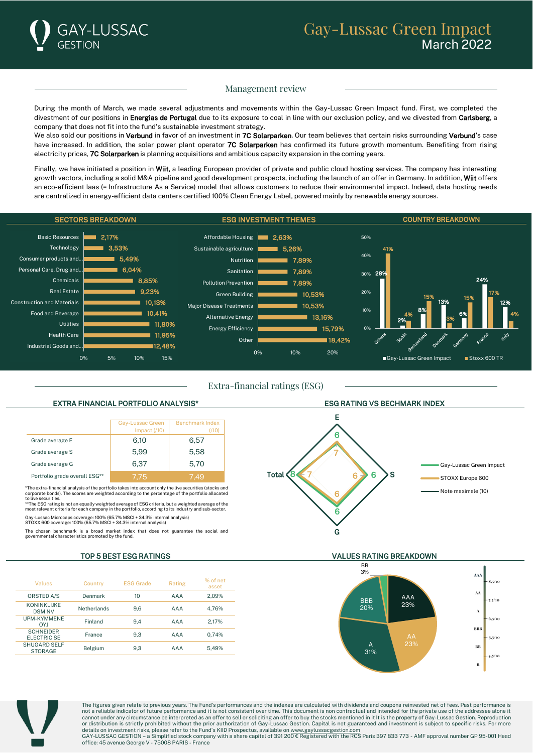

# Management review

During the month of March, we made several adjustments and movements within the Gay-Lussac Green Impact fund. First, we completed the divestment of our positions in Energias de Portugal due to its exposure to coal in line with our exclusion policy, and we divested from Carlsberg, a company that does not fit into the fund's sustainable investment strategy.

We also sold our positions in Verbund in favor of an investment in 7C Solarparken. Our team believes that certain risks surrounding Verbund's case have increased. In addition, the solar power plant operator 7C Solarparken has confirmed its future growth momentum. Benefiting from rising electricity prices, 7C Solarparken is planning acquisitions and ambitious capacity expansion in the coming years.

Finally, we have initiated a position in Wiit, a leading European provider of private and public cloud hosting services. The company has interesting growth vectors, including a solid M&A pipeline and good development prospects, including the launch of an offer in Germany. In addition, Wiit offers an eco-efficient Iaas (= Infrastructure As a Service) model that allows customers to reduce their environmental impact. Indeed, data hosting needs are centralized in energy-efficient data centers certified 100% Clean Energy Label, powered mainly by renewable energy sources.



Extra-financial ratings (ESG)

|                               | Gay-Lussac Green<br>Impact $(70)$ | <b>Benchmark Index</b><br>(/10) |
|-------------------------------|-----------------------------------|---------------------------------|
| Grade average E               | 6.10                              | 6,57                            |
| Grade average S               | 5.99                              | 5.58                            |
| Grade average G               | 6.37                              | 5.70                            |
| Portfolio grade overall ESG** | 7.75                              | 7 49                            |

\*The extra-financial analysis of the portfolio takes into account only the live securities (stocks and corporate bonds). The scores are weighted according to the percentage of the portfolio allocated

to live securities.<br>\*\*The ESG rating is not an equally weighted average of ESG criteria, but a weighted average of the<br>most relevant criteria for each company in the portfolio, according to its industry and sub-sector.

Gay-Lussac Microcaps coverage: 100% (65.7% MSCI + 34.3% internal analysis) STOXX 600 coverage: 100% (65.7% MSCI + 34.3% internal analysis)

The chosen benchmark is a broad market index that does not guarantee the social and governmental characteristics promoted by the fund.

|  | Values                                 | Country     | <b>ESG Grade</b> | Rating | % of net<br>asset |
|--|----------------------------------------|-------------|------------------|--------|-------------------|
|  | ORSTED A/S                             | Denmark     | 10               | AAA    | 2.09%             |
|  | <b>KONINKLIJKE</b><br><b>DSM NV</b>    | Netherlands | 9.6              | AAA    | 4.76%             |
|  | <b>UPM-KYMMENE</b><br><b>LYO</b>       | Finland     | 9.4              | AAA    | 2.17%             |
|  | <b>SCHNEIDER</b><br><b>ELECTRIC SE</b> | France      | 9.3              | AAA    | 0.74%             |
|  | <b>SHUGARD SELF</b><br><b>STORAGE</b>  | Belgium     | 9.3              | AAA    | 5.49%             |



# TOP 5 BEST ESG RATINGS VALUES RATING BREAKDOWN





The figures given relate to previous years. The Fund's performances and the indexes are calculated with dividends and coupons reinvested net of fees. Past performance is not a reliable indicator of future performance and it is not consistent over time. This document is non contractual and intended for the private use of the addressee alone it cannot under any circumstance be interpreted as an offer to sell or soliciting an offer to buy the stocks mentioned in it It is the property of Gay-Lussac Gestion. Reproduction and the rest of Gay-Lussac Gestion. Reproduct or distribution is strictly prohibited without the prior authorization of Gay-Lussac Gestion. Capital is not guaranteed and investment is subject to specific risks. For more

details on investment risks, please refer to the Fund's KIID Prospectus, available on <u>www.gaylussacgestion.com</u><br>GAY-LUSSAC GESTION – a Simplified stock company with a share capital of 391 200 € Registered with the RCS Pa office: 45 avenue George V - 75008 PARIS - France